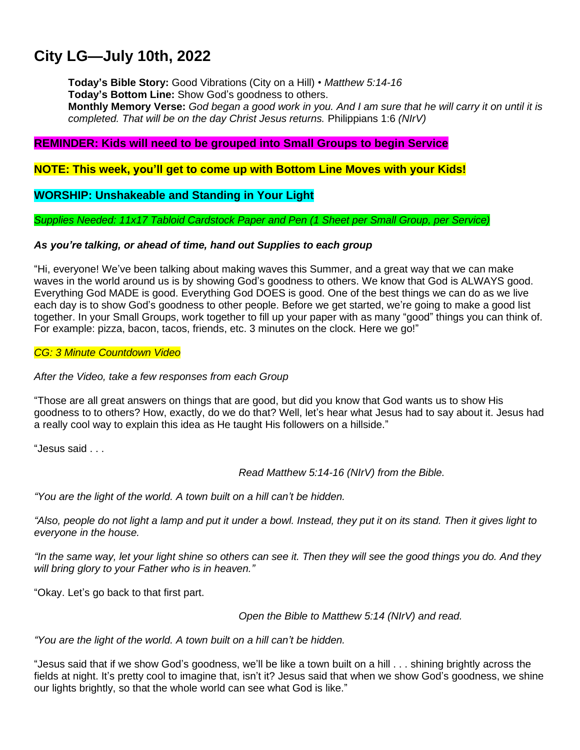# **City LG—July 10th, 2022**

**Today's Bible Story:** Good Vibrations (City on a Hill) • *Matthew 5:14-16* **Today's Bottom Line:** Show God's goodness to others. Monthly Memory Verse: God began a good work in you. And I am sure that he will carry it on until it is *completed. That will be on the day Christ Jesus returns.* Philippians 1:6 *(NIrV)*

## **REMINDER: Kids will need to be grouped into Small Groups to begin Service**

**NOTE: This week, you'll get to come up with Bottom Line Moves with your Kids!**

## **WORSHIP: Unshakeable and Standing in Your Light**

*Supplies Needed: 11x17 Tabloid Cardstock Paper and Pen (1 Sheet per Small Group, per Service)*

## *As you're talking, or ahead of time, hand out Supplies to each group*

"Hi, everyone! We've been talking about making waves this Summer, and a great way that we can make waves in the world around us is by showing God's goodness to others. We know that God is ALWAYS good. Everything God MADE is good. Everything God DOES is good. One of the best things we can do as we live each day is to show God's goodness to other people. Before we get started, we're going to make a good list together. In your Small Groups, work together to fill up your paper with as many "good" things you can think of. For example: pizza, bacon, tacos, friends, etc. 3 minutes on the clock. Here we go!"

## *CG: 3 Minute Countdown Video*

### *After the Video, take a few responses from each Group*

"Those are all great answers on things that are good, but did you know that God wants us to show His goodness to to others? How, exactly, do we do that? Well, let's hear what Jesus had to say about it. Jesus had a really cool way to explain this idea as He taught His followers on a hillside."

"Jesus said . . .

*Read Matthew 5:14-16 (NIrV) from the Bible.*

*"You are the light of the world. A town built on a hill can't be hidden.*

"Also, people do not light a lamp and put it under a bowl. Instead, they put it on its stand. Then it gives light to *everyone in the house.*

"In the same way, let your light shine so others can see it. Then they will see the good things you do. And they *will bring glory to your Father who is in heaven."*

"Okay. Let's go back to that first part.

*Open the Bible to Matthew 5:14 (NIrV) and read.*

*"You are the light of the world. A town built on a hill can't be hidden.*

"Jesus said that if we show God's goodness, we'll be like a town built on a hill . . . shining brightly across the fields at night. It's pretty cool to imagine that, isn't it? Jesus said that when we show God's goodness, we shine our lights brightly, so that the whole world can see what God is like."